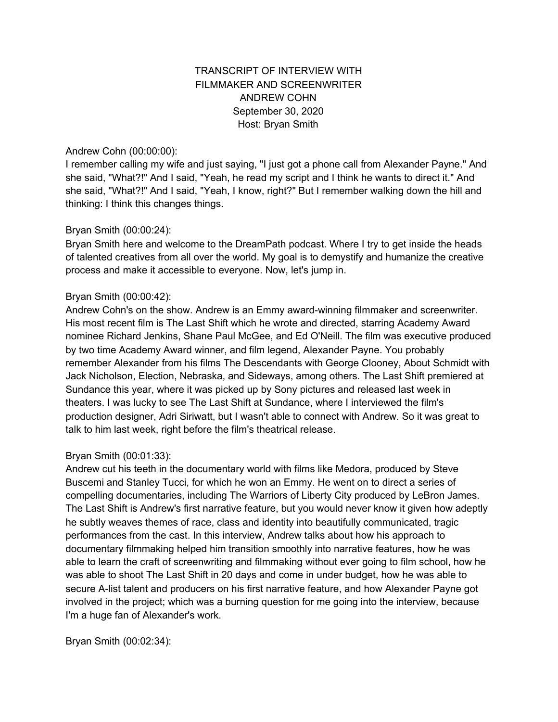# TRANSCRIPT OF INTERVIEW WITH FILMMAKER AND SCREENWRITER ANDREW COHN September 30, 2020 Host: Bryan Smith

#### Andrew Cohn (00:00:00):

I remember calling my wife and just saying, "I just got a phone call from Alexander Payne." And she said, "What?!" And I said, "Yeah, he read my script and I think he wants to direct it." And she said, "What?!" And I said, "Yeah, I know, right?" But I remember walking down the hill and thinking: I think this changes things.

#### Bryan Smith (00:00:24):

Bryan Smith here and welcome to the DreamPath podcast. Where I try to get inside the heads of talented creatives from all over the world. My goal is to demystify and humanize the creative process and make it accessible to everyone. Now, let's jump in.

#### Bryan Smith (00:00:42):

Andrew Cohn's on the show. Andrew is an Emmy award-winning filmmaker and screenwriter. His most recent film is The Last Shift which he wrote and directed, starring Academy Award nominee Richard Jenkins, Shane Paul McGee, and Ed O'Neill. The film was executive produced by two time Academy Award winner, and film legend, Alexander Payne. You probably remember Alexander from his films The Descendants with George Clooney, About Schmidt with Jack Nicholson, Election, Nebraska, and Sideways, among others. The Last Shift premiered at Sundance this year, where it was picked up by Sony pictures and released last week in theaters. I was lucky to see The Last Shift at Sundance, where I interviewed the film's production designer, Adri Siriwatt, but I wasn't able to connect with Andrew. So it was great to talk to him last week, right before the film's theatrical release.

### Bryan Smith (00:01:33):

Andrew cut his teeth in the documentary world with films like Medora, produced by Steve Buscemi and Stanley Tucci, for which he won an Emmy. He went on to direct a series of compelling documentaries, including The Warriors of Liberty City produced by LeBron James. The Last Shift is Andrew's first narrative feature, but you would never know it given how adeptly he subtly weaves themes of race, class and identity into beautifully communicated, tragic performances from the cast. In this interview, Andrew talks about how his approach to documentary filmmaking helped him transition smoothly into narrative features, how he was able to learn the craft of screenwriting and filmmaking without ever going to film school, how he was able to shoot The Last Shift in 20 days and come in under budget, how he was able to secure A-list talent and producers on his first narrative feature, and how Alexander Payne got involved in the project; which was a burning question for me going into the interview, because I'm a huge fan of Alexander's work.

Bryan Smith (00:02:34):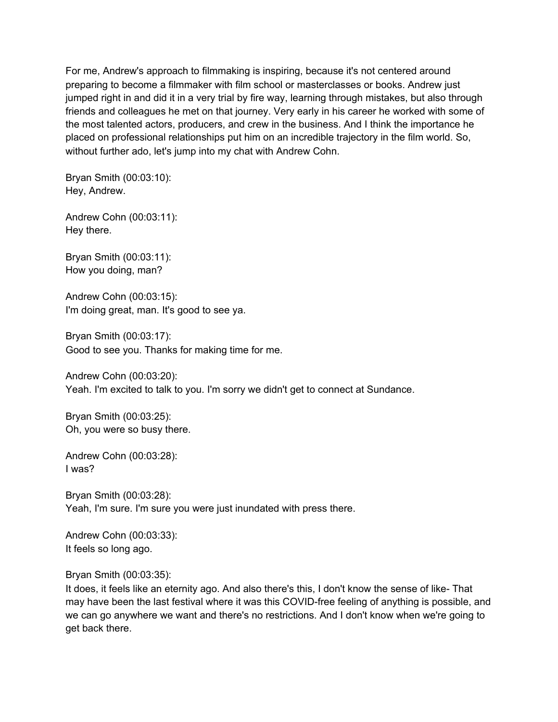For me, Andrew's approach to filmmaking is inspiring, because it's not centered around preparing to become a filmmaker with film school or masterclasses or books. Andrew just jumped right in and did it in a very trial by fire way, learning through mistakes, but also through friends and colleagues he met on that journey. Very early in his career he worked with some of the most talented actors, producers, and crew in the business. And I think the importance he placed on professional relationships put him on an incredible trajectory in the film world. So, without further ado, let's jump into my chat with Andrew Cohn.

Bryan Smith (00:03:10): Hey, Andrew.

Andrew Cohn (00:03:11): Hey there.

Bryan Smith (00:03:11): How you doing, man?

Andrew Cohn (00:03:15): I'm doing great, man. It's good to see ya.

Bryan Smith (00:03:17): Good to see you. Thanks for making time for me.

Andrew Cohn (00:03:20): Yeah. I'm excited to talk to you. I'm sorry we didn't get to connect at Sundance.

Bryan Smith (00:03:25): Oh, you were so busy there.

Andrew Cohn (00:03:28): I was?

Bryan Smith (00:03:28): Yeah, I'm sure. I'm sure you were just inundated with press there.

Andrew Cohn (00:03:33): It feels so long ago.

Bryan Smith (00:03:35):

It does, it feels like an eternity ago. And also there's this, I don't know the sense of like- That may have been the last festival where it was this COVID-free feeling of anything is possible, and we can go anywhere we want and there's no restrictions. And I don't know when we're going to get back there.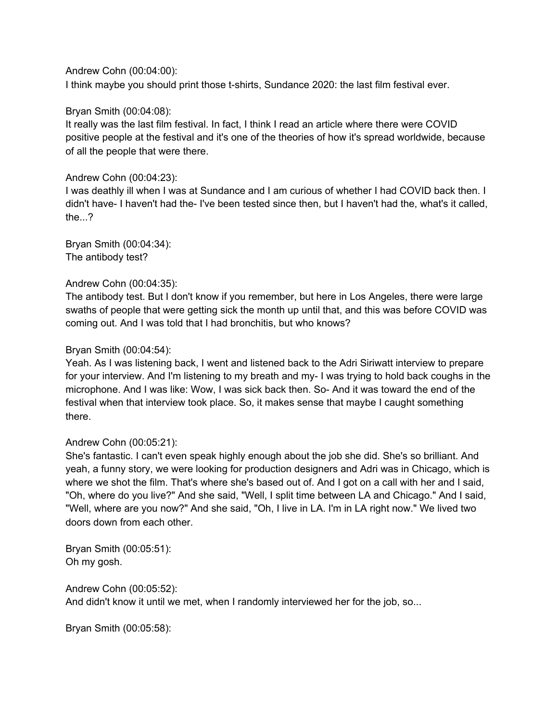### Andrew Cohn (00:04:00):

I think maybe you should print those t-shirts, Sundance 2020: the last film festival ever.

#### Bryan Smith (00:04:08):

It really was the last film festival. In fact, I think I read an article where there were COVID positive people at the festival and it's one of the theories of how it's spread worldwide, because of all the people that were there.

#### Andrew Cohn (00:04:23):

I was deathly ill when I was at Sundance and I am curious of whether I had COVID back then. I didn't have- I haven't had the- I've been tested since then, but I haven't had the, what's it called, the...?

Bryan Smith (00:04:34): The antibody test?

### Andrew Cohn (00:04:35):

The antibody test. But I don't know if you remember, but here in Los Angeles, there were large swaths of people that were getting sick the month up until that, and this was before COVID was coming out. And I was told that I had bronchitis, but who knows?

#### Bryan Smith (00:04:54):

Yeah. As I was listening back, I went and listened back to the Adri Siriwatt interview to prepare for your interview. And I'm listening to my breath and my- I was trying to hold back coughs in the microphone. And I was like: Wow, I was sick back then. So- And it was toward the end of the festival when that interview took place. So, it makes sense that maybe I caught something there.

### Andrew Cohn (00:05:21):

She's fantastic. I can't even speak highly enough about the job she did. She's so brilliant. And yeah, a funny story, we were looking for production designers and Adri was in Chicago, which is where we shot the film. That's where she's based out of. And I got on a call with her and I said, "Oh, where do you live?" And she said, "Well, I split time between LA and Chicago." And I said, "Well, where are you now?" And she said, "Oh, I live in LA. I'm in LA right now." We lived two doors down from each other.

Bryan Smith (00:05:51): Oh my gosh.

Andrew Cohn (00:05:52): And didn't know it until we met, when I randomly interviewed her for the job, so...

Bryan Smith (00:05:58):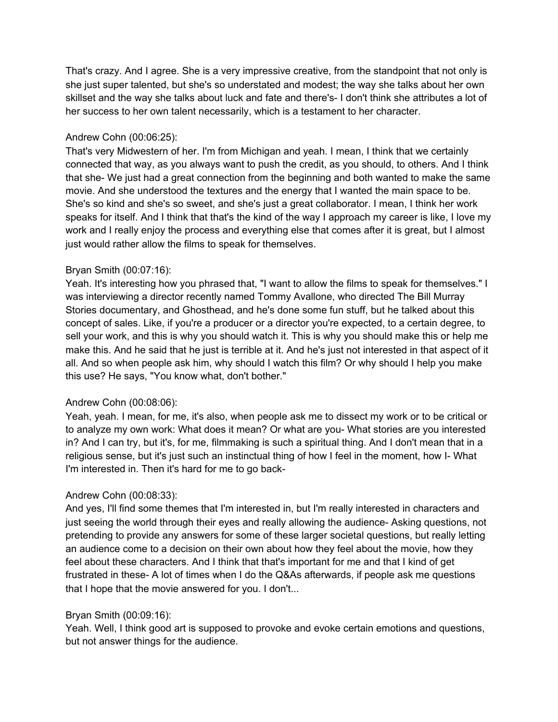That's crazy. And I agree. She is a very impressive creative, from the standpoint that not only is she just super talented, but she's so understated and modest; the way she talks about her own skillset and the way she talks about luck and fate and there's- I don't think she attributes a lot of her success to her own talent necessarily, which is a testament to her character.

## Andrew Cohn (00:06:25):

That's very Midwestern of her. I'm from Michigan and yeah. I mean, I think that we certainly connected that way, as you always want to push the credit, as you should, to others. And I think that she- We just had a great connection from the beginning and both wanted to make the same movie. And she understood the textures and the energy that I wanted the main space to be. She's so kind and she's so sweet, and she's just a great collaborator. I mean, I think her work speaks for itself. And I think that that's the kind of the way I approach my career is like, I love my work and I really enjoy the process and everything else that comes after it is great, but I almost just would rather allow the films to speak for themselves.

## Bryan Smith (00:07:16):

Yeah. It's interesting how you phrased that, "I want to allow the films to speak for themselves." I was interviewing a director recently named Tommy Avallone, who directed The Bill Murray Stories documentary, and Ghosthead, and he's done some fun stuff, but he talked about this concept of sales. Like, if you're a producer or a director you're expected, to a certain degree, to sell your work, and this is why you should watch it. This is why you should make this or help me make this. And he said that he just is terrible at it. And he's just not interested in that aspect of it all. And so when people ask him, why should I watch this film? Or why should I help you make this use? He says, "You know what, don't bother."

# Andrew Cohn (00:08:06):

Yeah, yeah. I mean, for me, it's also, when people ask me to dissect my work or to be critical or to analyze my own work: What does it mean? Or what are you- What stories are you interested in? And I can try, but it's, for me, filmmaking is such a spiritual thing. And I don't mean that in a religious sense, but it's just such an instinctual thing of how I feel in the moment, how I- What I'm interested in. Then it's hard for me to go back-

# Andrew Cohn (00:08:33):

And yes, I'll find some themes that I'm interested in, but I'm really interested in characters and just seeing the world through their eyes and really allowing the audience- Asking questions, not pretending to provide any answers for some of these larger societal questions, but really letting an audience come to a decision on their own about how they feel about the movie, how they feel about these characters. And I think that that's important for me and that I kind of get frustrated in these- A lot of times when I do the Q&As afterwards, if people ask me questions that I hope that the movie answered for you. I don't...

### Bryan Smith (00:09:16):

Yeah. Well, I think good art is supposed to provoke and evoke certain emotions and questions, but not answer things for the audience.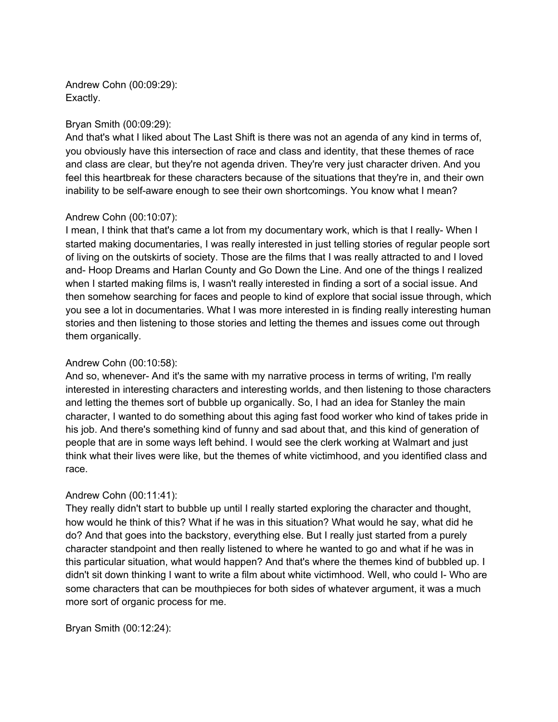Andrew Cohn (00:09:29): Exactly.

## Bryan Smith (00:09:29):

And that's what I liked about The Last Shift is there was not an agenda of any kind in terms of, you obviously have this intersection of race and class and identity, that these themes of race and class are clear, but they're not agenda driven. They're very just character driven. And you feel this heartbreak for these characters because of the situations that they're in, and their own inability to be self-aware enough to see their own shortcomings. You know what I mean?

## Andrew Cohn (00:10:07):

I mean, I think that that's came a lot from my documentary work, which is that I really- When I started making documentaries, I was really interested in just telling stories of regular people sort of living on the outskirts of society. Those are the films that I was really attracted to and I loved and- Hoop Dreams and Harlan County and Go Down the Line. And one of the things I realized when I started making films is, I wasn't really interested in finding a sort of a social issue. And then somehow searching for faces and people to kind of explore that social issue through, which you see a lot in documentaries. What I was more interested in is finding really interesting human stories and then listening to those stories and letting the themes and issues come out through them organically.

## Andrew Cohn (00:10:58):

And so, whenever- And it's the same with my narrative process in terms of writing, I'm really interested in interesting characters and interesting worlds, and then listening to those characters and letting the themes sort of bubble up organically. So, I had an idea for Stanley the main character, I wanted to do something about this aging fast food worker who kind of takes pride in his job. And there's something kind of funny and sad about that, and this kind of generation of people that are in some ways left behind. I would see the clerk working at Walmart and just think what their lives were like, but the themes of white victimhood, and you identified class and race.

# Andrew Cohn (00:11:41):

They really didn't start to bubble up until I really started exploring the character and thought, how would he think of this? What if he was in this situation? What would he say, what did he do? And that goes into the backstory, everything else. But I really just started from a purely character standpoint and then really listened to where he wanted to go and what if he was in this particular situation, what would happen? And that's where the themes kind of bubbled up. I didn't sit down thinking I want to write a film about white victimhood. Well, who could I- Who are some characters that can be mouthpieces for both sides of whatever argument, it was a much more sort of organic process for me.

Bryan Smith (00:12:24):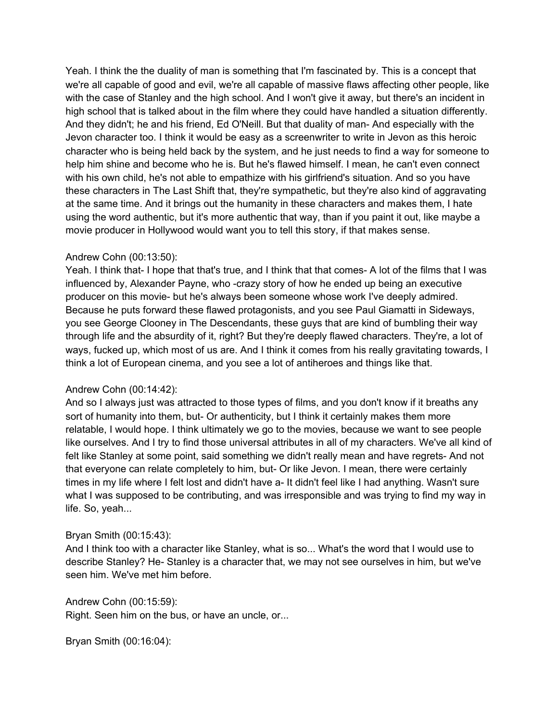Yeah. I think the the duality of man is something that I'm fascinated by. This is a concept that we're all capable of good and evil, we're all capable of massive flaws affecting other people, like with the case of Stanley and the high school. And I won't give it away, but there's an incident in high school that is talked about in the film where they could have handled a situation differently. And they didn't; he and his friend, Ed O'Neill. But that duality of man- And especially with the Jevon character too. I think it would be easy as a screenwriter to write in Jevon as this heroic character who is being held back by the system, and he just needs to find a way for someone to help him shine and become who he is. But he's flawed himself. I mean, he can't even connect with his own child, he's not able to empathize with his girlfriend's situation. And so you have these characters in The Last Shift that, they're sympathetic, but they're also kind of aggravating at the same time. And it brings out the humanity in these characters and makes them, I hate using the word authentic, but it's more authentic that way, than if you paint it out, like maybe a movie producer in Hollywood would want you to tell this story, if that makes sense.

### Andrew Cohn (00:13:50):

Yeah. I think that- I hope that that's true, and I think that that comes- A lot of the films that I was influenced by, Alexander Payne, who -crazy story of how he ended up being an executive producer on this movie- but he's always been someone whose work I've deeply admired. Because he puts forward these flawed protagonists, and you see Paul Giamatti in Sideways, you see George Clooney in The Descendants, these guys that are kind of bumbling their way through life and the absurdity of it, right? But they're deeply flawed characters. They're, a lot of ways, fucked up, which most of us are. And I think it comes from his really gravitating towards, I think a lot of European cinema, and you see a lot of antiheroes and things like that.

### Andrew Cohn (00:14:42):

And so I always just was attracted to those types of films, and you don't know if it breaths any sort of humanity into them, but- Or authenticity, but I think it certainly makes them more relatable, I would hope. I think ultimately we go to the movies, because we want to see people like ourselves. And I try to find those universal attributes in all of my characters. We've all kind of felt like Stanley at some point, said something we didn't really mean and have regrets- And not that everyone can relate completely to him, but- Or like Jevon. I mean, there were certainly times in my life where I felt lost and didn't have a- It didn't feel like I had anything. Wasn't sure what I was supposed to be contributing, and was irresponsible and was trying to find my way in life. So, yeah...

#### Bryan Smith (00:15:43):

And I think too with a character like Stanley, what is so... What's the word that I would use to describe Stanley? He- Stanley is a character that, we may not see ourselves in him, but we've seen him. We've met him before.

Andrew Cohn (00:15:59): Right. Seen him on the bus, or have an uncle, or...

Bryan Smith (00:16:04):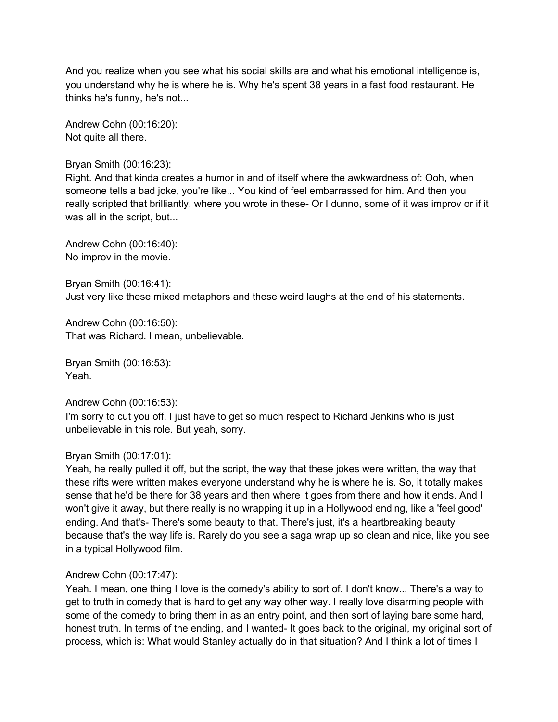And you realize when you see what his social skills are and what his emotional intelligence is, you understand why he is where he is. Why he's spent 38 years in a fast food restaurant. He thinks he's funny, he's not...

Andrew Cohn (00:16:20): Not quite all there.

Bryan Smith (00:16:23):

Right. And that kinda creates a humor in and of itself where the awkwardness of: Ooh, when someone tells a bad joke, you're like... You kind of feel embarrassed for him. And then you really scripted that brilliantly, where you wrote in these- Or I dunno, some of it was improv or if it was all in the script, but...

Andrew Cohn (00:16:40): No improv in the movie.

Bryan Smith (00:16:41): Just very like these mixed metaphors and these weird laughs at the end of his statements.

Andrew Cohn (00:16:50): That was Richard. I mean, unbelievable.

unbelievable in this role. But yeah, sorry.

Bryan Smith (00:16:53): Yeah.

Andrew Cohn (00:16:53): I'm sorry to cut you off. I just have to get so much respect to Richard Jenkins who is just

# Bryan Smith (00:17:01):

Yeah, he really pulled it off, but the script, the way that these jokes were written, the way that these rifts were written makes everyone understand why he is where he is. So, it totally makes sense that he'd be there for 38 years and then where it goes from there and how it ends. And I won't give it away, but there really is no wrapping it up in a Hollywood ending, like a 'feel good' ending. And that's- There's some beauty to that. There's just, it's a heartbreaking beauty because that's the way life is. Rarely do you see a saga wrap up so clean and nice, like you see in a typical Hollywood film.

### Andrew Cohn (00:17:47):

Yeah. I mean, one thing I love is the comedy's ability to sort of, I don't know... There's a way to get to truth in comedy that is hard to get any way other way. I really love disarming people with some of the comedy to bring them in as an entry point, and then sort of laying bare some hard, honest truth. In terms of the ending, and I wanted- It goes back to the original, my original sort of process, which is: What would Stanley actually do in that situation? And I think a lot of times I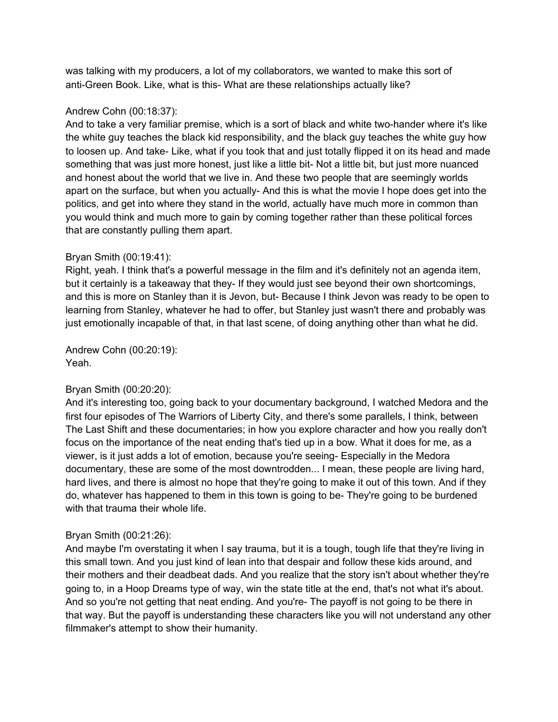was talking with my producers, a lot of my collaborators, we wanted to make this sort of anti-Green Book. Like, what is this- What are these relationships actually like?

## Andrew Cohn (00:18:37):

And to take a very familiar premise, which is a sort of black and white two-hander where it's like the white guy teaches the black kid responsibility, and the black guy teaches the white guy how to loosen up. And take- Like, what if you took that and just totally flipped it on its head and made something that was just more honest, just like a little bit- Not a little bit, but just more nuanced and honest about the world that we live in. And these two people that are seemingly worlds apart on the surface, but when you actually- And this is what the movie I hope does get into the politics, and get into where they stand in the world, actually have much more in common than you would think and much more to gain by coming together rather than these political forces that are constantly pulling them apart.

## Bryan Smith (00:19:41):

Right, yeah. I think that's a powerful message in the film and it's definitely not an agenda item, but it certainly is a takeaway that they- If they would just see beyond their own shortcomings, and this is more on Stanley than it is Jevon, but- Because I think Jevon was ready to be open to learning from Stanley, whatever he had to offer, but Stanley just wasn't there and probably was just emotionally incapable of that, in that last scene, of doing anything other than what he did.

Andrew Cohn (00:20:19): Yeah.

### Bryan Smith (00:20:20):

And it's interesting too, going back to your documentary background, I watched Medora and the first four episodes of The Warriors of Liberty City, and there's some parallels, I think, between The Last Shift and these documentaries; in how you explore character and how you really don't focus on the importance of the neat ending that's tied up in a bow. What it does for me, as a viewer, is it just adds a lot of emotion, because you're seeing- Especially in the Medora documentary, these are some of the most downtrodden... I mean, these people are living hard, hard lives, and there is almost no hope that they're going to make it out of this town. And if they do, whatever has happened to them in this town is going to be- They're going to be burdened with that trauma their whole life.

# Bryan Smith (00:21:26):

And maybe I'm overstating it when I say trauma, but it is a tough, tough life that they're living in this small town. And you just kind of lean into that despair and follow these kids around, and their mothers and their deadbeat dads. And you realize that the story isn't about whether they're going to, in a Hoop Dreams type of way, win the state title at the end, that's not what it's about. And so you're not getting that neat ending. And you're- The payoff is not going to be there in that way. But the payoff is understanding these characters like you will not understand any other filmmaker's attempt to show their humanity.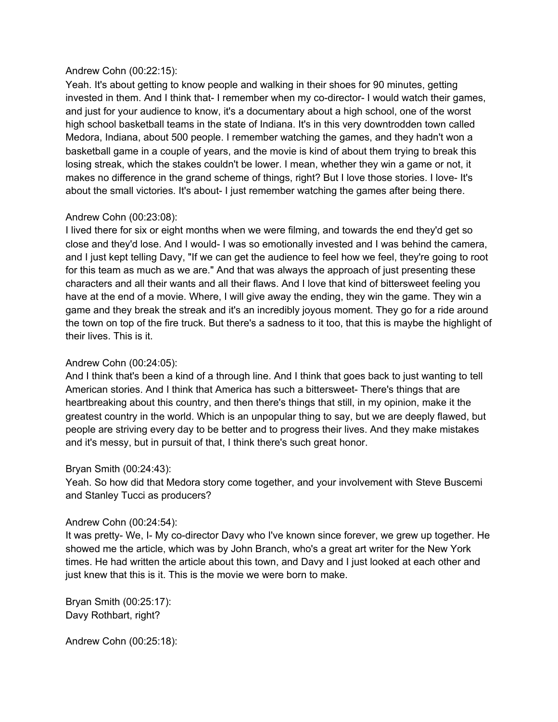### Andrew Cohn (00:22:15):

Yeah. It's about getting to know people and walking in their shoes for 90 minutes, getting invested in them. And I think that- I remember when my co-director- I would watch their games, and just for your audience to know, it's a documentary about a high school, one of the worst high school basketball teams in the state of Indiana. It's in this very downtrodden town called Medora, Indiana, about 500 people. I remember watching the games, and they hadn't won a basketball game in a couple of years, and the movie is kind of about them trying to break this losing streak, which the stakes couldn't be lower. I mean, whether they win a game or not, it makes no difference in the grand scheme of things, right? But I love those stories. I love- It's about the small victories. It's about- I just remember watching the games after being there.

### Andrew Cohn (00:23:08):

I lived there for six or eight months when we were filming, and towards the end they'd get so close and they'd lose. And I would- I was so emotionally invested and I was behind the camera, and I just kept telling Davy, "If we can get the audience to feel how we feel, they're going to root for this team as much as we are." And that was always the approach of just presenting these characters and all their wants and all their flaws. And I love that kind of bittersweet feeling you have at the end of a movie. Where, I will give away the ending, they win the game. They win a game and they break the streak and it's an incredibly joyous moment. They go for a ride around the town on top of the fire truck. But there's a sadness to it too, that this is maybe the highlight of their lives. This is it.

## Andrew Cohn (00:24:05):

And I think that's been a kind of a through line. And I think that goes back to just wanting to tell American stories. And I think that America has such a bittersweet- There's things that are heartbreaking about this country, and then there's things that still, in my opinion, make it the greatest country in the world. Which is an unpopular thing to say, but we are deeply flawed, but people are striving every day to be better and to progress their lives. And they make mistakes and it's messy, but in pursuit of that, I think there's such great honor.

### Bryan Smith (00:24:43):

Yeah. So how did that Medora story come together, and your involvement with Steve Buscemi and Stanley Tucci as producers?

### Andrew Cohn (00:24:54):

It was pretty- We, I- My co-director Davy who I've known since forever, we grew up together. He showed me the article, which was by John Branch, who's a great art writer for the New York times. He had written the article about this town, and Davy and I just looked at each other and just knew that this is it. This is the movie we were born to make.

Bryan Smith (00:25:17): Davy Rothbart, right?

Andrew Cohn (00:25:18):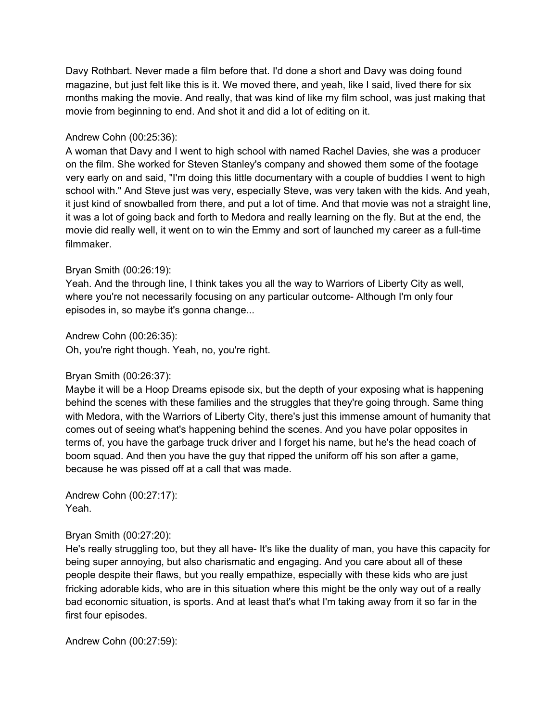Davy Rothbart. Never made a film before that. I'd done a short and Davy was doing found magazine, but just felt like this is it. We moved there, and yeah, like I said, lived there for six months making the movie. And really, that was kind of like my film school, was just making that movie from beginning to end. And shot it and did a lot of editing on it.

## Andrew Cohn (00:25:36):

A woman that Davy and I went to high school with named Rachel Davies, she was a producer on the film. She worked for Steven Stanley's company and showed them some of the footage very early on and said, "I'm doing this little documentary with a couple of buddies I went to high school with." And Steve just was very, especially Steve, was very taken with the kids. And yeah, it just kind of snowballed from there, and put a lot of time. And that movie was not a straight line, it was a lot of going back and forth to Medora and really learning on the fly. But at the end, the movie did really well, it went on to win the Emmy and sort of launched my career as a full-time filmmaker.

## Bryan Smith (00:26:19):

Yeah. And the through line, I think takes you all the way to Warriors of Liberty City as well, where you're not necessarily focusing on any particular outcome- Although I'm only four episodes in, so maybe it's gonna change...

Andrew Cohn (00:26:35):

Oh, you're right though. Yeah, no, you're right.

### Bryan Smith (00:26:37):

Maybe it will be a Hoop Dreams episode six, but the depth of your exposing what is happening behind the scenes with these families and the struggles that they're going through. Same thing with Medora, with the Warriors of Liberty City, there's just this immense amount of humanity that comes out of seeing what's happening behind the scenes. And you have polar opposites in terms of, you have the garbage truck driver and I forget his name, but he's the head coach of boom squad. And then you have the guy that ripped the uniform off his son after a game, because he was pissed off at a call that was made.

Andrew Cohn (00:27:17): Yeah.

### Bryan Smith (00:27:20):

He's really struggling too, but they all have- It's like the duality of man, you have this capacity for being super annoying, but also charismatic and engaging. And you care about all of these people despite their flaws, but you really empathize, especially with these kids who are just fricking adorable kids, who are in this situation where this might be the only way out of a really bad economic situation, is sports. And at least that's what I'm taking away from it so far in the first four episodes.

Andrew Cohn (00:27:59):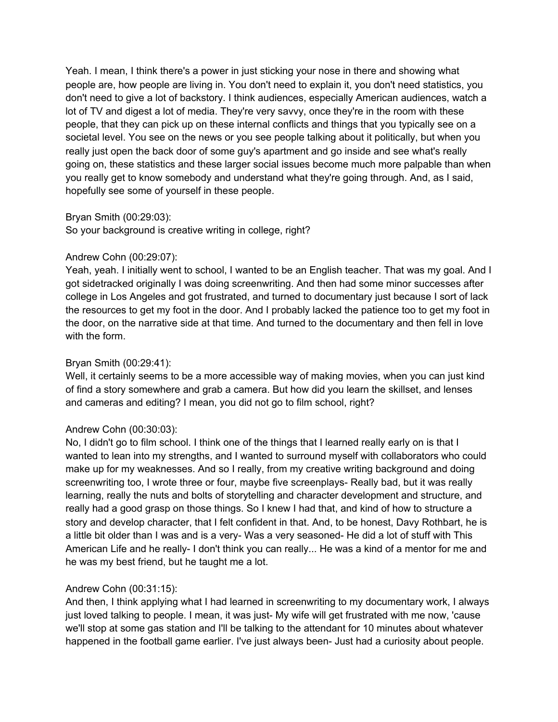Yeah. I mean, I think there's a power in just sticking your nose in there and showing what people are, how people are living in. You don't need to explain it, you don't need statistics, you don't need to give a lot of backstory. I think audiences, especially American audiences, watch a lot of TV and digest a lot of media. They're very savvy, once they're in the room with these people, that they can pick up on these internal conflicts and things that you typically see on a societal level. You see on the news or you see people talking about it politically, but when you really just open the back door of some guy's apartment and go inside and see what's really going on, these statistics and these larger social issues become much more palpable than when you really get to know somebody and understand what they're going through. And, as I said, hopefully see some of yourself in these people.

### Bryan Smith (00:29:03):

So your background is creative writing in college, right?

## Andrew Cohn (00:29:07):

Yeah, yeah. I initially went to school, I wanted to be an English teacher. That was my goal. And I got sidetracked originally I was doing screenwriting. And then had some minor successes after college in Los Angeles and got frustrated, and turned to documentary just because I sort of lack the resources to get my foot in the door. And I probably lacked the patience too to get my foot in the door, on the narrative side at that time. And turned to the documentary and then fell in love with the form.

### Bryan Smith (00:29:41):

Well, it certainly seems to be a more accessible way of making movies, when you can just kind of find a story somewhere and grab a camera. But how did you learn the skillset, and lenses and cameras and editing? I mean, you did not go to film school, right?

# Andrew Cohn (00:30:03):

No, I didn't go to film school. I think one of the things that I learned really early on is that I wanted to lean into my strengths, and I wanted to surround myself with collaborators who could make up for my weaknesses. And so I really, from my creative writing background and doing screenwriting too, I wrote three or four, maybe five screenplays- Really bad, but it was really learning, really the nuts and bolts of storytelling and character development and structure, and really had a good grasp on those things. So I knew I had that, and kind of how to structure a story and develop character, that I felt confident in that. And, to be honest, Davy Rothbart, he is a little bit older than I was and is a very- Was a very seasoned- He did a lot of stuff with This American Life and he really- I don't think you can really... He was a kind of a mentor for me and he was my best friend, but he taught me a lot.

# Andrew Cohn (00:31:15):

And then, I think applying what I had learned in screenwriting to my documentary work, I always just loved talking to people. I mean, it was just- My wife will get frustrated with me now, 'cause we'll stop at some gas station and I'll be talking to the attendant for 10 minutes about whatever happened in the football game earlier. I've just always been- Just had a curiosity about people.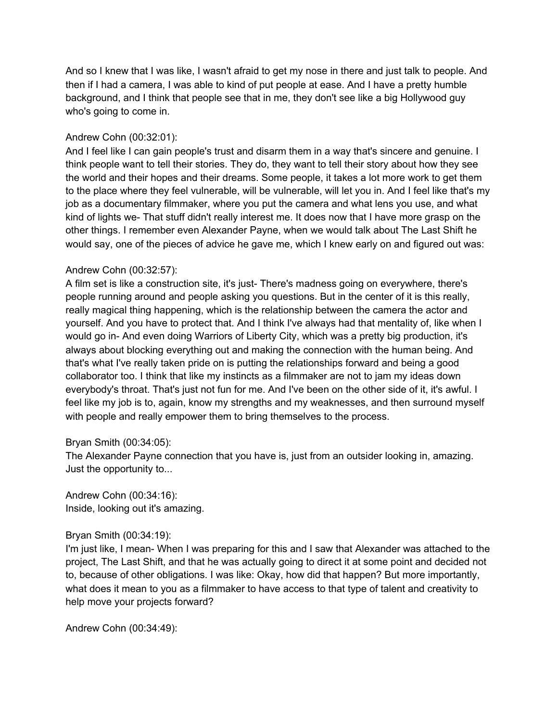And so I knew that I was like, I wasn't afraid to get my nose in there and just talk to people. And then if I had a camera, I was able to kind of put people at ease. And I have a pretty humble background, and I think that people see that in me, they don't see like a big Hollywood guy who's going to come in.

## Andrew Cohn (00:32:01):

And I feel like I can gain people's trust and disarm them in a way that's sincere and genuine. I think people want to tell their stories. They do, they want to tell their story about how they see the world and their hopes and their dreams. Some people, it takes a lot more work to get them to the place where they feel vulnerable, will be vulnerable, will let you in. And I feel like that's my job as a documentary filmmaker, where you put the camera and what lens you use, and what kind of lights we- That stuff didn't really interest me. It does now that I have more grasp on the other things. I remember even Alexander Payne, when we would talk about The Last Shift he would say, one of the pieces of advice he gave me, which I knew early on and figured out was:

## Andrew Cohn (00:32:57):

A film set is like a construction site, it's just- There's madness going on everywhere, there's people running around and people asking you questions. But in the center of it is this really, really magical thing happening, which is the relationship between the camera the actor and yourself. And you have to protect that. And I think I've always had that mentality of, like when I would go in- And even doing Warriors of Liberty City, which was a pretty big production, it's always about blocking everything out and making the connection with the human being. And that's what I've really taken pride on is putting the relationships forward and being a good collaborator too. I think that like my instincts as a filmmaker are not to jam my ideas down everybody's throat. That's just not fun for me. And I've been on the other side of it, it's awful. I feel like my job is to, again, know my strengths and my weaknesses, and then surround myself with people and really empower them to bring themselves to the process.

### Bryan Smith (00:34:05):

The Alexander Payne connection that you have is, just from an outsider looking in, amazing. Just the opportunity to...

Andrew Cohn (00:34:16): Inside, looking out it's amazing.

### Bryan Smith (00:34:19):

I'm just like, I mean- When I was preparing for this and I saw that Alexander was attached to the project, The Last Shift, and that he was actually going to direct it at some point and decided not to, because of other obligations. I was like: Okay, how did that happen? But more importantly, what does it mean to you as a filmmaker to have access to that type of talent and creativity to help move your projects forward?

Andrew Cohn (00:34:49):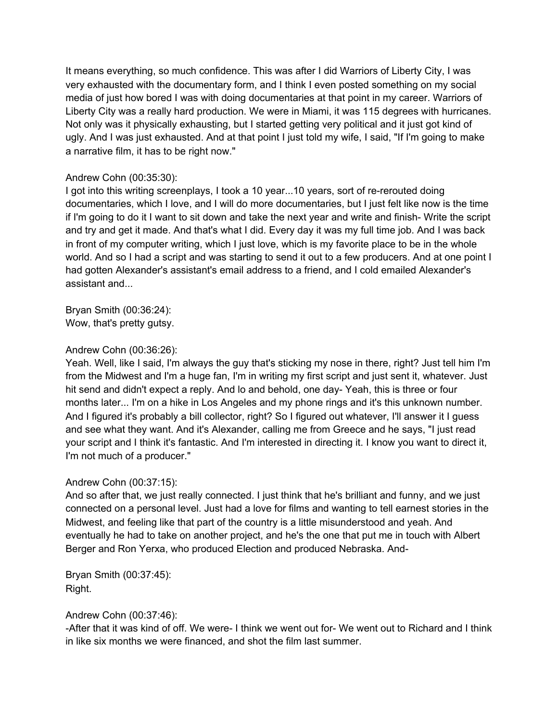It means everything, so much confidence. This was after I did Warriors of Liberty City, I was very exhausted with the documentary form, and I think I even posted something on my social media of just how bored I was with doing documentaries at that point in my career. Warriors of Liberty City was a really hard production. We were in Miami, it was 115 degrees with hurricanes. Not only was it physically exhausting, but I started getting very political and it just got kind of ugly. And I was just exhausted. And at that point I just told my wife, I said, "If I'm going to make a narrative film, it has to be right now."

## Andrew Cohn (00:35:30):

I got into this writing screenplays, I took a 10 year...10 years, sort of re-rerouted doing documentaries, which I love, and I will do more documentaries, but I just felt like now is the time if I'm going to do it I want to sit down and take the next year and write and finish- Write the script and try and get it made. And that's what I did. Every day it was my full time job. And I was back in front of my computer writing, which I just love, which is my favorite place to be in the whole world. And so I had a script and was starting to send it out to a few producers. And at one point I had gotten Alexander's assistant's email address to a friend, and I cold emailed Alexander's assistant and...

Bryan Smith (00:36:24): Wow, that's pretty gutsy.

### Andrew Cohn (00:36:26):

Yeah. Well, like I said, I'm always the guy that's sticking my nose in there, right? Just tell him I'm from the Midwest and I'm a huge fan, I'm in writing my first script and just sent it, whatever. Just hit send and didn't expect a reply. And lo and behold, one day- Yeah, this is three or four months later... I'm on a hike in Los Angeles and my phone rings and it's this unknown number. And I figured it's probably a bill collector, right? So I figured out whatever, I'll answer it I quess and see what they want. And it's Alexander, calling me from Greece and he says, "I just read your script and I think it's fantastic. And I'm interested in directing it. I know you want to direct it, I'm not much of a producer."

### Andrew Cohn (00:37:15):

And so after that, we just really connected. I just think that he's brilliant and funny, and we just connected on a personal level. Just had a love for films and wanting to tell earnest stories in the Midwest, and feeling like that part of the country is a little misunderstood and yeah. And eventually he had to take on another project, and he's the one that put me in touch with Albert Berger and Ron Yerxa, who produced Election and produced Nebraska. And-

Bryan Smith (00:37:45): Right.

# Andrew Cohn (00:37:46):

-After that it was kind of off. We were- I think we went out for- We went out to Richard and I think in like six months we were financed, and shot the film last summer.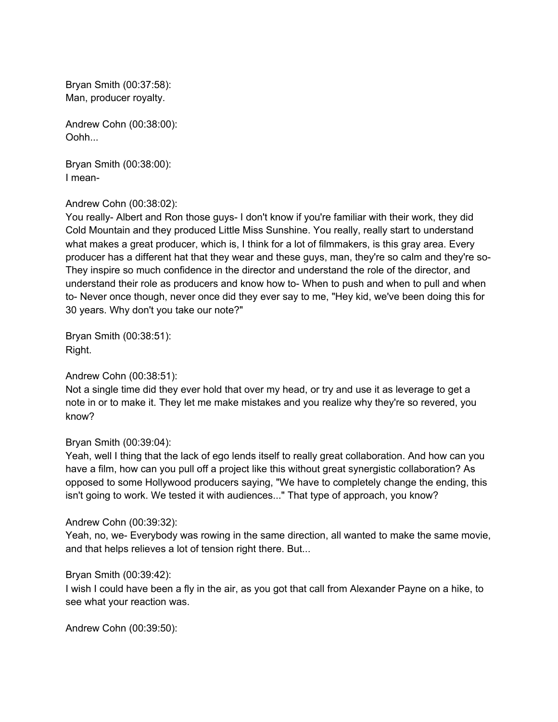Bryan Smith (00:37:58): Man, producer royalty.

Andrew Cohn (00:38:00): Oohh...

Bryan Smith (00:38:00): I mean-

### Andrew Cohn (00:38:02):

You really- Albert and Ron those guys- I don't know if you're familiar with their work, they did Cold Mountain and they produced Little Miss Sunshine. You really, really start to understand what makes a great producer, which is, I think for a lot of filmmakers, is this gray area. Every producer has a different hat that they wear and these guys, man, they're so calm and they're so-They inspire so much confidence in the director and understand the role of the director, and understand their role as producers and know how to- When to push and when to pull and when to- Never once though, never once did they ever say to me, "Hey kid, we've been doing this for 30 years. Why don't you take our note?"

Bryan Smith (00:38:51): Right.

Andrew Cohn (00:38:51):

Not a single time did they ever hold that over my head, or try and use it as leverage to get a note in or to make it. They let me make mistakes and you realize why they're so revered, you know?

# Bryan Smith (00:39:04):

Yeah, well I thing that the lack of ego lends itself to really great collaboration. And how can you have a film, how can you pull off a project like this without great synergistic collaboration? As opposed to some Hollywood producers saying, "We have to completely change the ending, this isn't going to work. We tested it with audiences..." That type of approach, you know?

### Andrew Cohn (00:39:32):

Yeah, no, we- Everybody was rowing in the same direction, all wanted to make the same movie, and that helps relieves a lot of tension right there. But...

### Bryan Smith (00:39:42):

I wish I could have been a fly in the air, as you got that call from Alexander Payne on a hike, to see what your reaction was.

Andrew Cohn (00:39:50):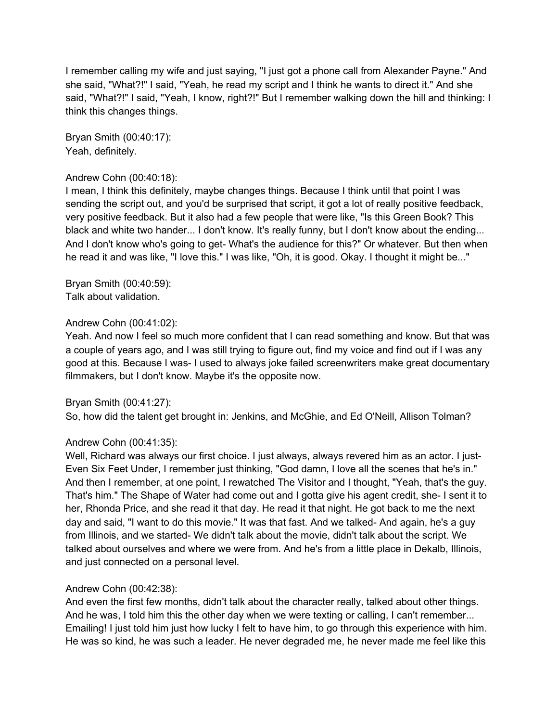I remember calling my wife and just saying, "I just got a phone call from Alexander Payne." And she said, "What?!" I said, "Yeah, he read my script and I think he wants to direct it." And she said, "What?!" I said, "Yeah, I know, right?!" But I remember walking down the hill and thinking: I think this changes things.

Bryan Smith (00:40:17): Yeah, definitely.

### Andrew Cohn (00:40:18):

I mean, I think this definitely, maybe changes things. Because I think until that point I was sending the script out, and you'd be surprised that script, it got a lot of really positive feedback, very positive feedback. But it also had a few people that were like, "Is this Green Book? This black and white two hander... I don't know. It's really funny, but I don't know about the ending... And I don't know who's going to get- What's the audience for this?" Or whatever. But then when he read it and was like, "I love this." I was like, "Oh, it is good. Okay. I thought it might be..."

Bryan Smith (00:40:59): Talk about validation.

## Andrew Cohn (00:41:02):

Yeah. And now I feel so much more confident that I can read something and know. But that was a couple of years ago, and I was still trying to figure out, find my voice and find out if I was any good at this. Because I was- I used to always joke failed screenwriters make great documentary filmmakers, but I don't know. Maybe it's the opposite now.

Bryan Smith (00:41:27):

So, how did the talent get brought in: Jenkins, and McGhie, and Ed O'Neill, Allison Tolman?

# Andrew Cohn (00:41:35):

Well, Richard was always our first choice. I just always, always revered him as an actor. I just-Even Six Feet Under, I remember just thinking, "God damn, I love all the scenes that he's in." And then I remember, at one point, I rewatched The Visitor and I thought, "Yeah, that's the guy. That's him." The Shape of Water had come out and I gotta give his agent credit, she- I sent it to her, Rhonda Price, and she read it that day. He read it that night. He got back to me the next day and said, "I want to do this movie." It was that fast. And we talked- And again, he's a guy from Illinois, and we started- We didn't talk about the movie, didn't talk about the script. We talked about ourselves and where we were from. And he's from a little place in Dekalb, Illinois, and just connected on a personal level.

# Andrew Cohn (00:42:38):

And even the first few months, didn't talk about the character really, talked about other things. And he was, I told him this the other day when we were texting or calling, I can't remember... Emailing! I just told him just how lucky I felt to have him, to go through this experience with him. He was so kind, he was such a leader. He never degraded me, he never made me feel like this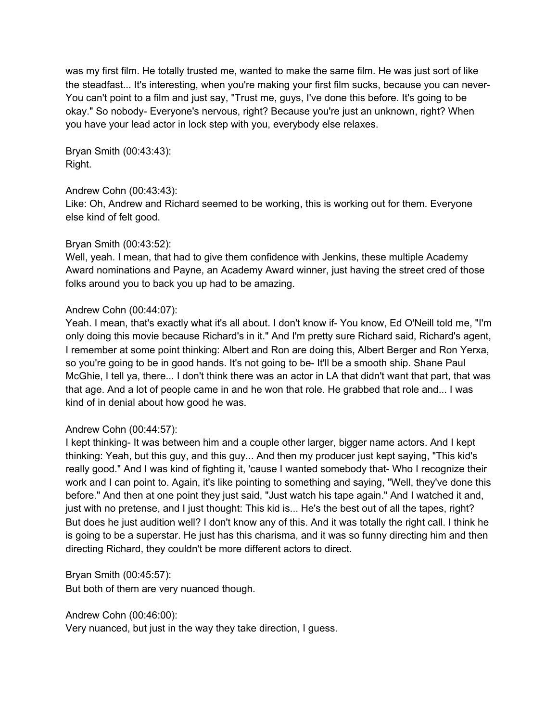was my first film. He totally trusted me, wanted to make the same film. He was just sort of like the steadfast... It's interesting, when you're making your first film sucks, because you can never-You can't point to a film and just say, "Trust me, guys, I've done this before. It's going to be okay." So nobody- Everyone's nervous, right? Because you're just an unknown, right? When you have your lead actor in lock step with you, everybody else relaxes.

Bryan Smith (00:43:43): Right.

### Andrew Cohn (00:43:43):

Like: Oh, Andrew and Richard seemed to be working, this is working out for them. Everyone else kind of felt good.

## Bryan Smith (00:43:52):

Well, yeah. I mean, that had to give them confidence with Jenkins, these multiple Academy Award nominations and Payne, an Academy Award winner, just having the street cred of those folks around you to back you up had to be amazing.

## Andrew Cohn (00:44:07):

Yeah. I mean, that's exactly what it's all about. I don't know if- You know, Ed O'Neill told me, "I'm only doing this movie because Richard's in it." And I'm pretty sure Richard said, Richard's agent, I remember at some point thinking: Albert and Ron are doing this, Albert Berger and Ron Yerxa, so you're going to be in good hands. It's not going to be- It'll be a smooth ship. Shane Paul McGhie, I tell ya, there... I don't think there was an actor in LA that didn't want that part, that was that age. And a lot of people came in and he won that role. He grabbed that role and... I was kind of in denial about how good he was.

### Andrew Cohn (00:44:57):

I kept thinking- It was between him and a couple other larger, bigger name actors. And I kept thinking: Yeah, but this guy, and this guy... And then my producer just kept saying, "This kid's really good." And I was kind of fighting it, 'cause I wanted somebody that- Who I recognize their work and I can point to. Again, it's like pointing to something and saying, "Well, they've done this before." And then at one point they just said, "Just watch his tape again." And I watched it and, just with no pretense, and I just thought: This kid is... He's the best out of all the tapes, right? But does he just audition well? I don't know any of this. And it was totally the right call. I think he is going to be a superstar. He just has this charisma, and it was so funny directing him and then directing Richard, they couldn't be more different actors to direct.

Bryan Smith (00:45:57):

But both of them are very nuanced though.

Andrew Cohn (00:46:00):

Very nuanced, but just in the way they take direction, I guess.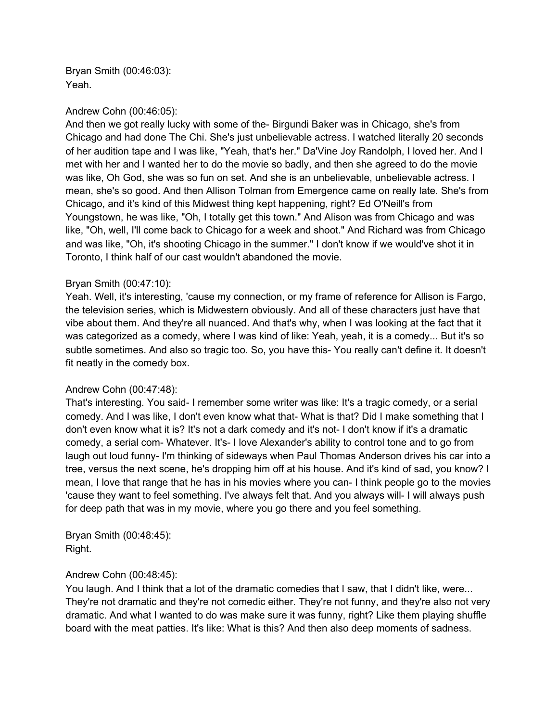Bryan Smith (00:46:03): Yeah.

#### Andrew Cohn (00:46:05):

And then we got really lucky with some of the- Birgundi Baker was in Chicago, she's from Chicago and had done The Chi. She's just unbelievable actress. I watched literally 20 seconds of her audition tape and I was like, "Yeah, that's her." Da'Vine Joy Randolph, I loved her. And I met with her and I wanted her to do the movie so badly, and then she agreed to do the movie was like, Oh God, she was so fun on set. And she is an unbelievable, unbelievable actress. I mean, she's so good. And then Allison Tolman from Emergence came on really late. She's from Chicago, and it's kind of this Midwest thing kept happening, right? Ed O'Neill's from Youngstown, he was like, "Oh, I totally get this town." And Alison was from Chicago and was like, "Oh, well, I'll come back to Chicago for a week and shoot." And Richard was from Chicago and was like, "Oh, it's shooting Chicago in the summer." I don't know if we would've shot it in Toronto, I think half of our cast wouldn't abandoned the movie.

### Bryan Smith (00:47:10):

Yeah. Well, it's interesting, 'cause my connection, or my frame of reference for Allison is Fargo, the television series, which is Midwestern obviously. And all of these characters just have that vibe about them. And they're all nuanced. And that's why, when I was looking at the fact that it was categorized as a comedy, where I was kind of like: Yeah, yeah, it is a comedy... But it's so subtle sometimes. And also so tragic too. So, you have this- You really can't define it. It doesn't fit neatly in the comedy box.

### Andrew Cohn (00:47:48):

That's interesting. You said- I remember some writer was like: It's a tragic comedy, or a serial comedy. And I was like, I don't even know what that- What is that? Did I make something that I don't even know what it is? It's not a dark comedy and it's not- I don't know if it's a dramatic comedy, a serial com- Whatever. It's- I love Alexander's ability to control tone and to go from laugh out loud funny- I'm thinking of sideways when Paul Thomas Anderson drives his car into a tree, versus the next scene, he's dropping him off at his house. And it's kind of sad, you know? I mean, I love that range that he has in his movies where you can- I think people go to the movies 'cause they want to feel something. I've always felt that. And you always will- I will always push for deep path that was in my movie, where you go there and you feel something.

Bryan Smith (00:48:45): Right.

#### Andrew Cohn (00:48:45):

You laugh. And I think that a lot of the dramatic comedies that I saw, that I didn't like, were... They're not dramatic and they're not comedic either. They're not funny, and they're also not very dramatic. And what I wanted to do was make sure it was funny, right? Like them playing shuffle board with the meat patties. It's like: What is this? And then also deep moments of sadness.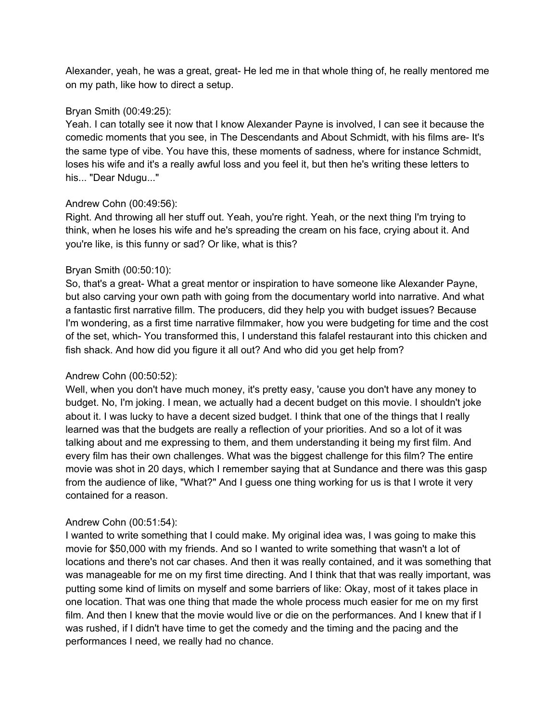Alexander, yeah, he was a great, great- He led me in that whole thing of, he really mentored me on my path, like how to direct a setup.

## Bryan Smith (00:49:25):

Yeah. I can totally see it now that I know Alexander Payne is involved, I can see it because the comedic moments that you see, in The Descendants and About Schmidt, with his films are- It's the same type of vibe. You have this, these moments of sadness, where for instance Schmidt, loses his wife and it's a really awful loss and you feel it, but then he's writing these letters to his... "Dear Ndugu..."

## Andrew Cohn (00:49:56):

Right. And throwing all her stuff out. Yeah, you're right. Yeah, or the next thing I'm trying to think, when he loses his wife and he's spreading the cream on his face, crying about it. And you're like, is this funny or sad? Or like, what is this?

## Bryan Smith (00:50:10):

So, that's a great- What a great mentor or inspiration to have someone like Alexander Payne, but also carving your own path with going from the documentary world into narrative. And what a fantastic first narrative fillm. The producers, did they help you with budget issues? Because I'm wondering, as a first time narrative filmmaker, how you were budgeting for time and the cost of the set, which- You transformed this, I understand this falafel restaurant into this chicken and fish shack. And how did you figure it all out? And who did you get help from?

# Andrew Cohn (00:50:52):

Well, when you don't have much money, it's pretty easy, 'cause you don't have any money to budget. No, I'm joking. I mean, we actually had a decent budget on this movie. I shouldn't joke about it. I was lucky to have a decent sized budget. I think that one of the things that I really learned was that the budgets are really a reflection of your priorities. And so a lot of it was talking about and me expressing to them, and them understanding it being my first film. And every film has their own challenges. What was the biggest challenge for this film? The entire movie was shot in 20 days, which I remember saying that at Sundance and there was this gasp from the audience of like, "What?" And I guess one thing working for us is that I wrote it very contained for a reason.

# Andrew Cohn (00:51:54):

I wanted to write something that I could make. My original idea was, I was going to make this movie for \$50,000 with my friends. And so I wanted to write something that wasn't a lot of locations and there's not car chases. And then it was really contained, and it was something that was manageable for me on my first time directing. And I think that that was really important, was putting some kind of limits on myself and some barriers of like: Okay, most of it takes place in one location. That was one thing that made the whole process much easier for me on my first film. And then I knew that the movie would live or die on the performances. And I knew that if I was rushed, if I didn't have time to get the comedy and the timing and the pacing and the performances I need, we really had no chance.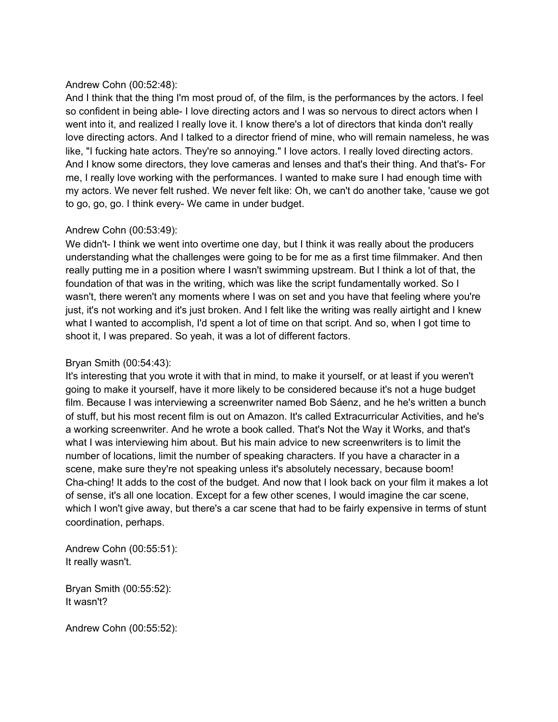### Andrew Cohn (00:52:48):

And I think that the thing I'm most proud of, of the film, is the performances by the actors. I feel so confident in being able- I love directing actors and I was so nervous to direct actors when I went into it, and realized I really love it. I know there's a lot of directors that kinda don't really love directing actors. And I talked to a director friend of mine, who will remain nameless, he was like, "I fucking hate actors. They're so annoying." I love actors. I really loved directing actors. And I know some directors, they love cameras and lenses and that's their thing. And that's- For me, I really love working with the performances. I wanted to make sure I had enough time with my actors. We never felt rushed. We never felt like: Oh, we can't do another take, 'cause we got to go, go, go. I think every- We came in under budget.

## Andrew Cohn (00:53:49):

We didn't- I think we went into overtime one day, but I think it was really about the producers understanding what the challenges were going to be for me as a first time filmmaker. And then really putting me in a position where I wasn't swimming upstream. But I think a lot of that, the foundation of that was in the writing, which was like the script fundamentally worked. So I wasn't, there weren't any moments where I was on set and you have that feeling where you're just, it's not working and it's just broken. And I felt like the writing was really airtight and I knew what I wanted to accomplish, I'd spent a lot of time on that script. And so, when I got time to shoot it, I was prepared. So yeah, it was a lot of different factors.

### Bryan Smith (00:54:43):

It's interesting that you wrote it with that in mind, to make it yourself, or at least if you weren't going to make it yourself, have it more likely to be considered because it's not a huge budget film. Because I was interviewing a screenwriter named Bob Sáenz, and he he's written a bunch of stuff, but his most recent film is out on Amazon. It's called Extracurricular Activities, and he's a working screenwriter. And he wrote a book called. That's Not the Way it Works, and that's what I was interviewing him about. But his main advice to new screenwriters is to limit the number of locations, limit the number of speaking characters. If you have a character in a scene, make sure they're not speaking unless it's absolutely necessary, because boom! Cha-ching! It adds to the cost of the budget. And now that I look back on your film it makes a lot of sense, it's all one location. Except for a few other scenes, I would imagine the car scene, which I won't give away, but there's a car scene that had to be fairly expensive in terms of stunt coordination, perhaps.

Andrew Cohn (00:55:51): It really wasn't.

Bryan Smith (00:55:52): It wasn't?

Andrew Cohn (00:55:52):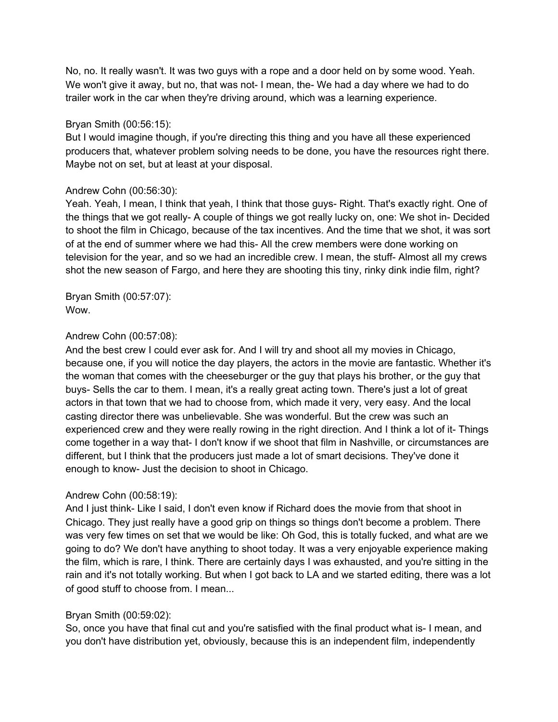No, no. It really wasn't. It was two guys with a rope and a door held on by some wood. Yeah. We won't give it away, but no, that was not- I mean, the- We had a day where we had to do trailer work in the car when they're driving around, which was a learning experience.

## Bryan Smith (00:56:15):

But I would imagine though, if you're directing this thing and you have all these experienced producers that, whatever problem solving needs to be done, you have the resources right there. Maybe not on set, but at least at your disposal.

# Andrew Cohn (00:56:30):

Yeah. Yeah, I mean, I think that yeah, I think that those guys- Right. That's exactly right. One of the things that we got really- A couple of things we got really lucky on, one: We shot in- Decided to shoot the film in Chicago, because of the tax incentives. And the time that we shot, it was sort of at the end of summer where we had this- All the crew members were done working on television for the year, and so we had an incredible crew. I mean, the stuff- Almost all my crews shot the new season of Fargo, and here they are shooting this tiny, rinky dink indie film, right?

Bryan Smith (00:57:07): Wow.

# Andrew Cohn (00:57:08):

And the best crew I could ever ask for. And I will try and shoot all my movies in Chicago, because one, if you will notice the day players, the actors in the movie are fantastic. Whether it's the woman that comes with the cheeseburger or the guy that plays his brother, or the guy that buys- Sells the car to them. I mean, it's a really great acting town. There's just a lot of great actors in that town that we had to choose from, which made it very, very easy. And the local casting director there was unbelievable. She was wonderful. But the crew was such an experienced crew and they were really rowing in the right direction. And I think a lot of it- Things come together in a way that- I don't know if we shoot that film in Nashville, or circumstances are different, but I think that the producers just made a lot of smart decisions. They've done it enough to know- Just the decision to shoot in Chicago.

# Andrew Cohn (00:58:19):

And I just think- Like I said, I don't even know if Richard does the movie from that shoot in Chicago. They just really have a good grip on things so things don't become a problem. There was very few times on set that we would be like: Oh God, this is totally fucked, and what are we going to do? We don't have anything to shoot today. It was a very enjoyable experience making the film, which is rare, I think. There are certainly days I was exhausted, and you're sitting in the rain and it's not totally working. But when I got back to LA and we started editing, there was a lot of good stuff to choose from. I mean...

### Bryan Smith (00:59:02):

So, once you have that final cut and you're satisfied with the final product what is- I mean, and you don't have distribution yet, obviously, because this is an independent film, independently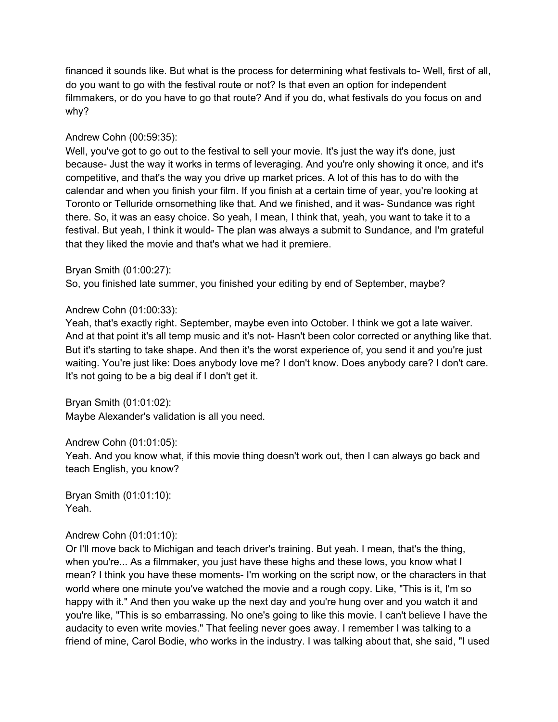financed it sounds like. But what is the process for determining what festivals to- Well, first of all, do you want to go with the festival route or not? Is that even an option for independent filmmakers, or do you have to go that route? And if you do, what festivals do you focus on and why?

## Andrew Cohn (00:59:35):

Well, you've got to go out to the festival to sell your movie. It's just the way it's done, just because- Just the way it works in terms of leveraging. And you're only showing it once, and it's competitive, and that's the way you drive up market prices. A lot of this has to do with the calendar and when you finish your film. If you finish at a certain time of year, you're looking at Toronto or Telluride ornsomething like that. And we finished, and it was- Sundance was right there. So, it was an easy choice. So yeah, I mean, I think that, yeah, you want to take it to a festival. But yeah, I think it would- The plan was always a submit to Sundance, and I'm grateful that they liked the movie and that's what we had it premiere.

## Bryan Smith (01:00:27):

So, you finished late summer, you finished your editing by end of September, maybe?

## Andrew Cohn (01:00:33):

Yeah, that's exactly right. September, maybe even into October. I think we got a late waiver. And at that point it's all temp music and it's not- Hasn't been color corrected or anything like that. But it's starting to take shape. And then it's the worst experience of, you send it and you're just waiting. You're just like: Does anybody love me? I don't know. Does anybody care? I don't care. It's not going to be a big deal if I don't get it.

Bryan Smith (01:01:02):

Maybe Alexander's validation is all you need.

### Andrew Cohn (01:01:05):

Yeah. And you know what, if this movie thing doesn't work out, then I can always go back and teach English, you know?

Bryan Smith (01:01:10): Yeah.

### Andrew Cohn (01:01:10):

Or I'll move back to Michigan and teach driver's training. But yeah. I mean, that's the thing, when you're... As a filmmaker, you just have these highs and these lows, you know what I mean? I think you have these moments- I'm working on the script now, or the characters in that world where one minute you've watched the movie and a rough copy. Like, "This is it, I'm so happy with it." And then you wake up the next day and you're hung over and you watch it and you're like, "This is so embarrassing. No one's going to like this movie. I can't believe I have the audacity to even write movies." That feeling never goes away. I remember I was talking to a friend of mine, Carol Bodie, who works in the industry. I was talking about that, she said, "I used